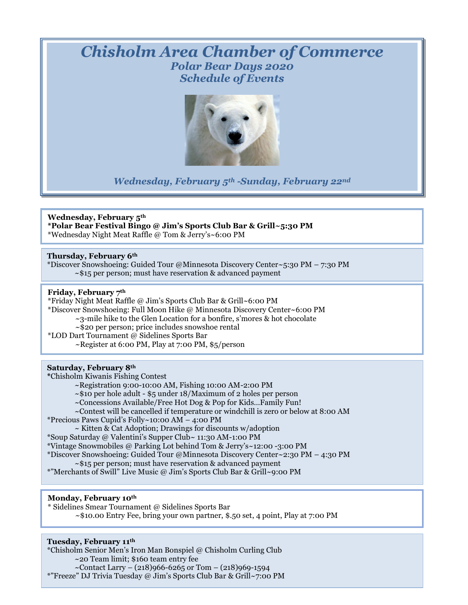# *Chisholm Area Chamber of Commerce Polar Bear Days 2020 Schedule of Events*



*Wednesday, February 5th -Sunday, February 22nd* 

#### **Wednesday, February 5th \*Polar Bear Festival Bingo @ Jim's Sports Club Bar & Grill~5:30 PM** \*Wednesday Night Meat Raffle @ Tom & Jerry's~6:00 PM

#### **Thursday, February 6th**

\*Discover Snowshoeing: Guided Tour @Minnesota Discovery Center~5:30 PM – 7:30 PM ~\$15 per person; must have reservation & advanced payment

#### **Friday, February 7th**

\*Friday Night Meat Raffle @ Jim's Sports Club Bar & Grill~6:00 PM

- \*Discover Snowshoeing: Full Moon Hike @ Minnesota Discovery Center~6:00 PM
	- ~3-mile hike to the Glen Location for a bonfire, s'mores & hot chocolate
	- ~\$20 per person; price includes snowshoe rental

\*LOD Dart Tournament @ Sidelines Sports Bar

~Register at 6:00 PM, Play at 7:00 PM, \$5/person

#### **Saturday, February 8th**

**\***Chisholm Kiwanis Fishing Contest

- ~Registration 9:00-10:00 AM, Fishing 10:00 AM-2:00 PM
- ~\$10 per hole adult \$5 under 18/Maximum of 2 holes per person
- ~Concessions Available/Free Hot Dog & Pop for Kids…Family Fun!
- ~Contest will be cancelled if temperature or windchill is zero or below at 8:00 AM

\*Precious Paws Cupid's Folly~10:00 AM – 4:00 PM

~ Kitten & Cat Adoption; Drawings for discounts w/adoption

\*Soup Saturday @ Valentini's Supper Club~ 11:30 AM-1:00 PM

\*Vintage Snowmobiles @ Parking Lot behind Tom & Jerry's~12:00 -3:00 PM

\*Discover Snowshoeing: Guided Tour @Minnesota Discovery Center~2:30 PM – 4:30 PM

- ~\$15 per person; must have reservation & advanced payment
- \*"Merchants of Swill" Live Music @ Jim's Sports Club Bar & Grill~9:00 PM

#### **Monday, February 10th**

\* Sidelines Smear Tournament @ Sidelines Sports Bar ~\$10.00 Entry Fee, bring your own partner, \$.50 set, 4 point, Play at 7:00 PM

#### **Tuesday, February 11 th**

\*Chisholm Senior Men's Iron Man Bonspiel @ Chisholm Curling Club

~20 Team limit; \$160 team entry fee

 $\sim$ Contact Larry – (218)966-6265 or Tom – (218)969-1594

\*"Freeze" DJ Trivia Tuesday @ Jim's Sports Club Bar & Grill~7:00 PM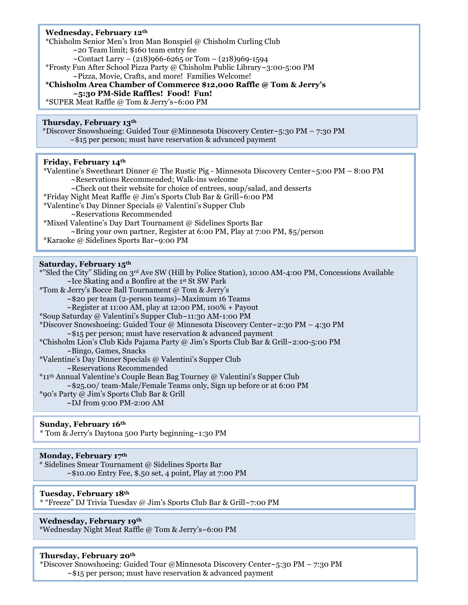#### **Wednesday, February 12th**

\*Chisholm Senior Men's Iron Man Bonspiel @ Chisholm Curling Club ~20 Team limit; \$160 team entry fee  $\sim$ Contact Larry – (218)966-6265 or Tom – (218)969-1594 \*Frosty Fun After School Pizza Party @ Chisholm Public Library~3:00-5:00 PM ~Pizza, Movie, Crafts, and more! Families Welcome!

#### **\*Chisholm Area Chamber of Commerce \$12,000 Raffle @ Tom & Jerry's**

**~5:30 PM-Side Raffles! Food! Fun!**

\*SUPER Meat Raffle @ Tom & Jerry's~6:00 PM

#### **Thursday, February 13th**

\*Discover Snowshoeing: Guided Tour @Minnesota Discovery Center~5:30 PM – 7:30 PM ~\$15 per person; must have reservation & advanced payment

#### **Friday, February 14th**

\*Valentine's Sweetheart Dinner @ The Rustic Pig - Minnesota Discovery Center~5:00 PM – 8:00 PM ~Reservations Recommended; Walk-ins welcome ~Check out their website for choice of entrees, soup/salad, and desserts \*Friday Night Meat Raffle @ Jim's Sports Club Bar & Grill~6:00 PM \*Valentine's Day Dinner Specials @ Valentini's Supper Club ~Reservations Recommended \*Mixed Valentine's Day Dart Tournament @ Sidelines Sports Bar ~Bring your own partner, Register at 6:00 PM, Play at 7:00 PM, \$5/person \*Karaoke @ Sidelines Sports Bar~9:00 PM

#### **Saturday, February 15th**

\*"Sled the City" Sliding on 3rd Ave SW (Hill by Police Station), 10:00 AM-4:00 PM, Concessions Available ~Ice Skating and a Bonfire at the 1<sup>st</sup> St SW Park \*Tom & Jerry's Bocce Ball Tournament @ Tom & Jerry's ~\$20 per team (2-person teams)~Maximum 16 Teams  $\sim$ Register at 11:00 AM, play at 12:00 PM, 100% + Payout \*Soup Saturday @ Valentini's Supper Club~11:30 AM-1:00 PM \*Discover Snowshoeing: Guided Tour @ Minnesota Discovery Center~2:30 PM – 4:30 PM ~\$15 per person; must have reservation & advanced payment \*Chisholm Lion's Club Kids Pajama Party @ Jim's Sports Club Bar & Grill~2:00-5:00 PM ~Bingo, Games, Snacks \*Valentine's Day Dinner Specials @ Valentini's Supper Club ~Reservations Recommended \*11 th Annual Valentine's Couple Bean Bag Tourney @ Valentini's Supper Club ~\$25.00/ team-Male/Female Teams only, Sign up before or at 6:00 PM \*90's Party @ Jim's Sports Club Bar & Grill ~DJ from 9:00 PM-2:00 AM

#### **Sunday, February 16th**

\* Tom & Jerry's Daytona 500 Party beginning~1:30 PM

#### **Monday, February 17th**

\* Sidelines Smear Tournament @ Sidelines Sports Bar  $\sim$ \$10.00 Entry Fee, \$.50 set, 4 point, Play at 7:00 PM

#### **Tuesday, February 18th**

\* "Freeze" DJ Trivia Tuesday @ Jim's Sports Club Bar & Grill~7:00 PM

## **Wednesday, February 19th**

\*Wednesday Night Meat Raffle @ Tom & Jerry's~6:00 PM

#### **Thursday, February 20th**

\*Discover Snowshoeing: Guided Tour @Minnesota Discovery Center~5:30 PM – 7:30 PM  $\sim$ \$15 per person; must have reservation & advanced payment